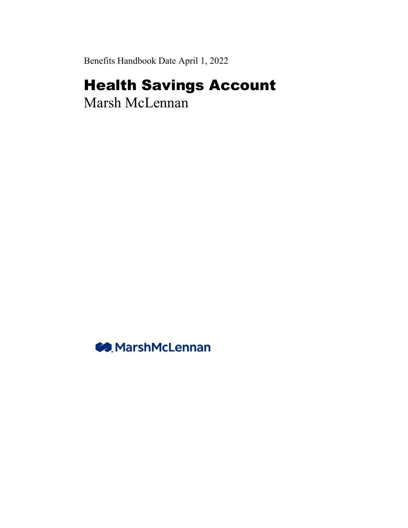Benefits Handbook Date April 1, 2022

# Health Savings Account

Marsh McLennan

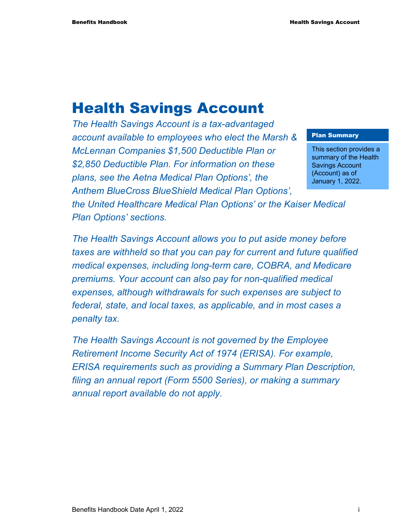# Health Savings Account

*The Health Savings Account is a tax-advantaged account available to employees who elect the Marsh & McLennan Companies \$1,500 Deductible Plan or \$2,850 Deductible Plan. For information on these plans, see the Aetna Medical Plan Options', the Anthem BlueCross BlueShield Medical Plan Options',* 

#### Plan Summary

This section provides a summary of the Health Savings Account (Account) as of January 1, 2022.

*the United Healthcare Medical Plan Options' or the Kaiser Medical Plan Options' sections.* 

*The Health Savings Account allows you to put aside money before taxes are withheld so that you can pay for current and future qualified medical expenses, including long-term care, COBRA, and Medicare premiums. Your account can also pay for non-qualified medical expenses, although withdrawals for such expenses are subject to federal, state, and local taxes, as applicable, and in most cases a penalty tax.* 

*The Health Savings Account is not governed by the Employee Retirement Income Security Act of 1974 (ERISA). For example, ERISA requirements such as providing a Summary Plan Description, filing an annual report (Form 5500 Series), or making a summary annual report available do not apply.*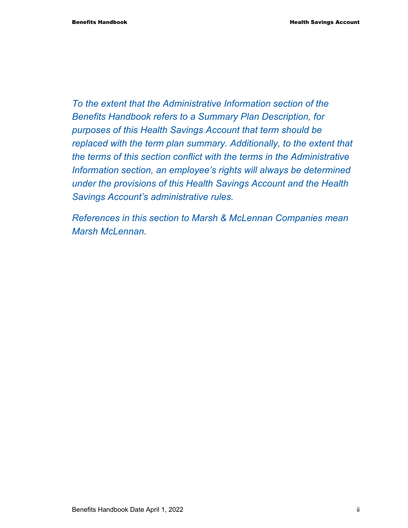*To the extent that the Administrative Information section of the Benefits Handbook refers to a Summary Plan Description, for purposes of this Health Savings Account that term should be replaced with the term plan summary. Additionally, to the extent that the terms of this section conflict with the terms in the Administrative Information section, an employee's rights will always be determined under the provisions of this Health Savings Account and the Health Savings Account's administrative rules.* 

*References in this section to Marsh & McLennan Companies mean Marsh McLennan.*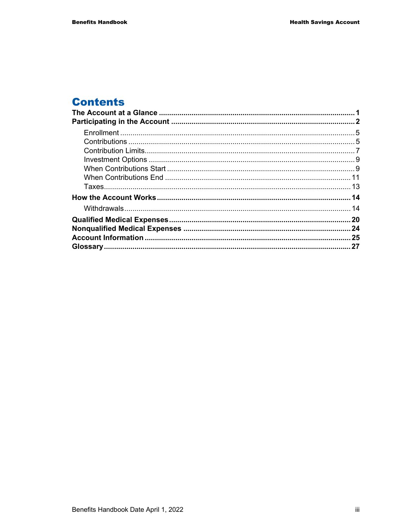## **Contents**

| <b>Contents</b> |  |
|-----------------|--|
|                 |  |
|                 |  |
|                 |  |
|                 |  |
|                 |  |
|                 |  |
|                 |  |
|                 |  |
|                 |  |
|                 |  |
|                 |  |
|                 |  |
|                 |  |
|                 |  |
|                 |  |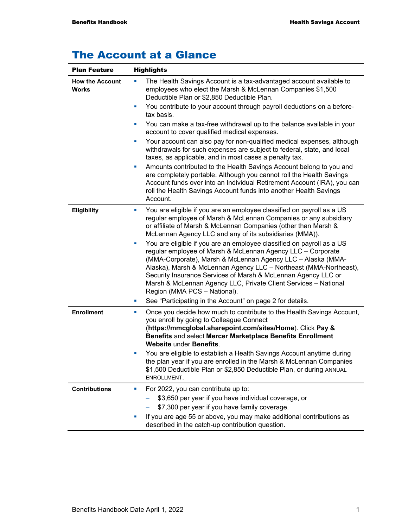| <b>Plan Feature</b>                    | <b>Highlights</b>                                                                                                                                                                                                                                                                                                                                                                                                                                 |
|----------------------------------------|---------------------------------------------------------------------------------------------------------------------------------------------------------------------------------------------------------------------------------------------------------------------------------------------------------------------------------------------------------------------------------------------------------------------------------------------------|
| <b>How the Account</b><br><b>Works</b> | The Health Savings Account is a tax-advantaged account available to<br>×<br>employees who elect the Marsh & McLennan Companies \$1,500<br>Deductible Plan or \$2,850 Deductible Plan.                                                                                                                                                                                                                                                             |
|                                        | You contribute to your account through payroll deductions on a before-<br>ш<br>tax basis.                                                                                                                                                                                                                                                                                                                                                         |
|                                        | You can make a tax-free withdrawal up to the balance available in your<br>u,<br>account to cover qualified medical expenses.                                                                                                                                                                                                                                                                                                                      |
|                                        | Your account can also pay for non-qualified medical expenses, although<br>ш<br>withdrawals for such expenses are subject to federal, state, and local<br>taxes, as applicable, and in most cases a penalty tax.                                                                                                                                                                                                                                   |
|                                        | Amounts contributed to the Health Savings Account belong to you and<br>L.<br>are completely portable. Although you cannot roll the Health Savings<br>Account funds over into an Individual Retirement Account (IRA), you can<br>roll the Health Savings Account funds into another Health Savings<br>Account.                                                                                                                                     |
| <b>Eligibility</b>                     | You are eligible if you are an employee classified on payroll as a US<br>×<br>regular employee of Marsh & McLennan Companies or any subsidiary<br>or affiliate of Marsh & McLennan Companies (other than Marsh &<br>McLennan Agency LLC and any of its subsidiaries (MMA)).                                                                                                                                                                       |
|                                        | You are eligible if you are an employee classified on payroll as a US<br>ш<br>regular employee of Marsh & McLennan Agency LLC - Corporate<br>(MMA-Corporate), Marsh & McLennan Agency LLC - Alaska (MMA-<br>Alaska), Marsh & McLennan Agency LLC - Northeast (MMA-Northeast),<br>Security Insurance Services of Marsh & McLennan Agency LLC or<br>Marsh & McLennan Agency LLC, Private Client Services - National<br>Region (MMA PCS - National). |
|                                        | See "Participating in the Account" on page 2 for details.<br>ш                                                                                                                                                                                                                                                                                                                                                                                    |
| <b>Enrollment</b>                      | Once you decide how much to contribute to the Health Savings Account,<br>ш<br>you enroll by going to Colleague Connect<br>(https://mmcglobal.sharepoint.com/sites/Home). Click Pay &<br>Benefits and select Mercer Marketplace Benefits Enrollment<br>Website under Benefits.                                                                                                                                                                     |
|                                        | You are eligible to establish a Health Savings Account anytime during<br>ш<br>the plan year if you are enrolled in the Marsh & McLennan Companies<br>\$1,500 Deductible Plan or \$2,850 Deductible Plan, or during ANNUAL<br>ENROLLMENT.                                                                                                                                                                                                          |
| <b>Contributions</b>                   | For 2022, you can contribute up to:<br>L.                                                                                                                                                                                                                                                                                                                                                                                                         |
|                                        | \$3,650 per year if you have individual coverage, or                                                                                                                                                                                                                                                                                                                                                                                              |
|                                        | \$7,300 per year if you have family coverage.<br>If you are age 55 or above, you may make additional contributions as<br>ш<br>described in the catch-up contribution question.                                                                                                                                                                                                                                                                    |

## The Account at a Glance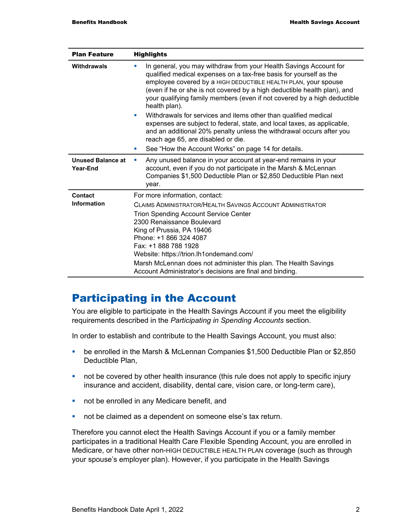| <b>Plan Feature</b>                  | <b>Highlights</b>                                                                                                                                                                                                                                                                                                                                                                                                                                                                                                                           |  |
|--------------------------------------|---------------------------------------------------------------------------------------------------------------------------------------------------------------------------------------------------------------------------------------------------------------------------------------------------------------------------------------------------------------------------------------------------------------------------------------------------------------------------------------------------------------------------------------------|--|
| Withdrawals                          | In general, you may withdraw from your Health Savings Account for<br>п<br>qualified medical expenses on a tax-free basis for yourself as the<br>employee covered by a HIGH DEDUCTIBLE HEALTH PLAN, your spouse<br>(even if he or she is not covered by a high deductible health plan), and<br>your qualifying family members (even if not covered by a high deductible<br>health plan).<br>Withdrawals for services and items other than qualified medical<br>u,<br>expenses are subject to federal, state, and local taxes, as applicable, |  |
|                                      | and an additional 20% penalty unless the withdrawal occurs after you<br>reach age 65, are disabled or die.                                                                                                                                                                                                                                                                                                                                                                                                                                  |  |
|                                      | See "How the Account Works" on page 14 for details.                                                                                                                                                                                                                                                                                                                                                                                                                                                                                         |  |
| <b>Unused Balance at</b><br>Year-End | Any unused balance in your account at year-end remains in your<br>×<br>account, even if you do not participate in the Marsh & McLennan<br>Companies \$1,500 Deductible Plan or \$2,850 Deductible Plan next<br>year.                                                                                                                                                                                                                                                                                                                        |  |
| Contact                              | For more information, contact:                                                                                                                                                                                                                                                                                                                                                                                                                                                                                                              |  |
| <b>Information</b>                   | CLAIMS ADMINISTRATOR/HEALTH SAVINGS ACCOUNT ADMINISTRATOR                                                                                                                                                                                                                                                                                                                                                                                                                                                                                   |  |
|                                      | Trion Spending Account Service Center<br>2300 Renaissance Boulevard<br>King of Prussia, PA 19406<br>Phone: +1 866 324 4087<br>Fax: +1 888 788 1928<br>Website: https://trion.lh1ondemand.com/                                                                                                                                                                                                                                                                                                                                               |  |
|                                      | Marsh McLennan does not administer this plan. The Health Savings<br>Account Administrator's decisions are final and binding.                                                                                                                                                                                                                                                                                                                                                                                                                |  |

## Participating in the Account

You are eligible to participate in the Health Savings Account if you meet the eligibility requirements described in the *Participating in Spending Accounts* section.

In order to establish and contribute to the Health Savings Account, you must also:

- be enrolled in the Marsh & McLennan Companies \$1,500 Deductible Plan or \$2,850 Deductible Plan,
- not be covered by other health insurance (this rule does not apply to specific injury insurance and accident, disability, dental care, vision care, or long-term care),
- not be enrolled in any Medicare benefit, and
- not be claimed as a dependent on someone else's tax return.

Therefore you cannot elect the Health Savings Account if you or a family member participates in a traditional Health Care Flexible Spending Account, you are enrolled in Medicare, or have other non-HIGH DEDUCTIBLE HEALTH PLAN coverage (such as through your spouse's employer plan). However, if you participate in the Health Savings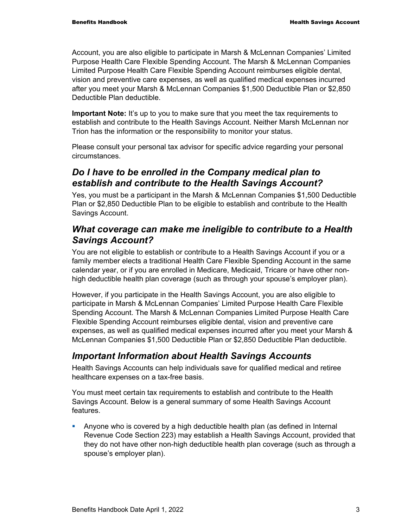Account, you are also eligible to participate in Marsh & McLennan Companies' Limited Purpose Health Care Flexible Spending Account. The Marsh & McLennan Companies Limited Purpose Health Care Flexible Spending Account reimburses eligible dental, vision and preventive care expenses, as well as qualified medical expenses incurred after you meet your Marsh & McLennan Companies \$1,500 Deductible Plan or \$2,850 Deductible Plan deductible.

**Important Note:** It's up to you to make sure that you meet the tax requirements to establish and contribute to the Health Savings Account. Neither Marsh McLennan nor Trion has the information or the responsibility to monitor your status.

Please consult your personal tax advisor for specific advice regarding your personal circumstances.

#### *Do I have to be enrolled in the Company medical plan to establish and contribute to the Health Savings Account?*

Yes, you must be a participant in the Marsh & McLennan Companies \$1,500 Deductible Plan or \$2,850 Deductible Plan to be eligible to establish and contribute to the Health Savings Account.

#### *What coverage can make me ineligible to contribute to a Health Savings Account?*

You are not eligible to establish or contribute to a Health Savings Account if you or a family member elects a traditional Health Care Flexible Spending Account in the same calendar year, or if you are enrolled in Medicare, Medicaid, Tricare or have other nonhigh deductible health plan coverage (such as through your spouse's employer plan).

However, if you participate in the Health Savings Account, you are also eligible to participate in Marsh & McLennan Companies' Limited Purpose Health Care Flexible Spending Account. The Marsh & McLennan Companies Limited Purpose Health Care Flexible Spending Account reimburses eligible dental, vision and preventive care expenses, as well as qualified medical expenses incurred after you meet your Marsh & McLennan Companies \$1,500 Deductible Plan or \$2,850 Deductible Plan deductible.

#### *Important Information about Health Savings Accounts*

Health Savings Accounts can help individuals save for qualified medical and retiree healthcare expenses on a tax-free basis.

You must meet certain tax requirements to establish and contribute to the Health Savings Account. Below is a general summary of some Health Savings Account features.

 Anyone who is covered by a high deductible health plan (as defined in Internal Revenue Code Section 223) may establish a Health Savings Account, provided that they do not have other non-high deductible health plan coverage (such as through a spouse's employer plan).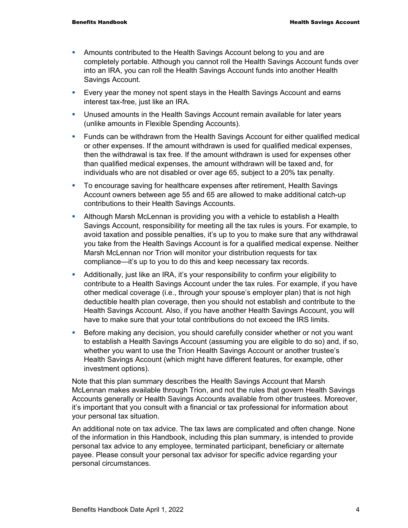- Amounts contributed to the Health Savings Account belong to you and are completely portable. Although you cannot roll the Health Savings Account funds over into an IRA, you can roll the Health Savings Account funds into another Health Savings Account.
- Every year the money not spent stays in the Health Savings Account and earns interest tax-free, just like an IRA.
- Unused amounts in the Health Savings Account remain available for later years (unlike amounts in Flexible Spending Accounts).
- Funds can be withdrawn from the Health Savings Account for either qualified medical or other expenses. If the amount withdrawn is used for qualified medical expenses, then the withdrawal is tax free. If the amount withdrawn is used for expenses other than qualified medical expenses, the amount withdrawn will be taxed and, for individuals who are not disabled or over age 65, subject to a 20% tax penalty.
- To encourage saving for healthcare expenses after retirement, Health Savings Account owners between age 55 and 65 are allowed to make additional catch-up contributions to their Health Savings Accounts.
- Although Marsh McLennan is providing you with a vehicle to establish a Health Savings Account, responsibility for meeting all the tax rules is yours. For example, to avoid taxation and possible penalties, it's up to you to make sure that any withdrawal you take from the Health Savings Account is for a qualified medical expense. Neither Marsh McLennan nor Trion will monitor your distribution requests for tax compliance—it's up to you to do this and keep necessary tax records.
- Additionally, just like an IRA, it's your responsibility to confirm your eligibility to contribute to a Health Savings Account under the tax rules. For example, if you have other medical coverage (i.e., through your spouse's employer plan) that is not high deductible health plan coverage, then you should not establish and contribute to the Health Savings Account. Also, if you have another Health Savings Account, you will have to make sure that your total contributions do not exceed the IRS limits.
- **Before making any decision, you should carefully consider whether or not you want** to establish a Health Savings Account (assuming you are eligible to do so) and, if so, whether you want to use the Trion Health Savings Account or another trustee's Health Savings Account (which might have different features, for example, other investment options).

Note that this plan summary describes the Health Savings Account that Marsh McLennan makes available through Trion, and not the rules that govern Health Savings Accounts generally or Health Savings Accounts available from other trustees. Moreover, it's important that you consult with a financial or tax professional for information about your personal tax situation.

An additional note on tax advice. The tax laws are complicated and often change. None of the information in this Handbook, including this plan summary, is intended to provide personal tax advice to any employee, terminated participant, beneficiary or alternate payee. Please consult your personal tax advisor for specific advice regarding your personal circumstances.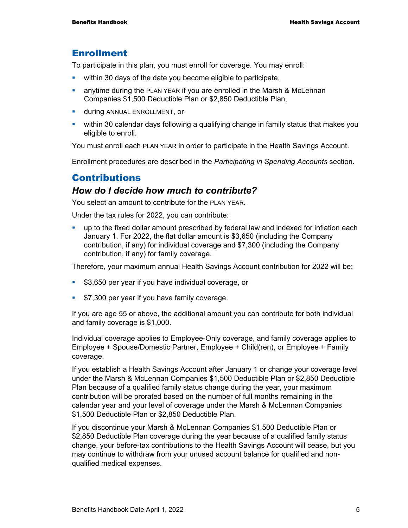#### Enrollment

To participate in this plan, you must enroll for coverage. You may enroll:

- within 30 days of the date you become eligible to participate,
- anytime during the PLAN YEAR if you are enrolled in the Marsh & McLennan Companies \$1,500 Deductible Plan or \$2,850 Deductible Plan,
- **during ANNUAL ENROLLMENT, or**
- within 30 calendar days following a qualifying change in family status that makes you eligible to enroll.

You must enroll each PLAN YEAR in order to participate in the Health Savings Account.

Enrollment procedures are described in the *Participating in Spending Accounts* section.

#### **Contributions**

#### *How do I decide how much to contribute?*

You select an amount to contribute for the PLAN YEAR.

Under the tax rules for 2022, you can contribute:

 up to the fixed dollar amount prescribed by federal law and indexed for inflation each January 1. For 2022, the flat dollar amount is \$3,650 (including the Company contribution, if any) for individual coverage and \$7,300 (including the Company contribution, if any) for family coverage.

Therefore, your maximum annual Health Savings Account contribution for 2022 will be:

- **\$3,650 per year if you have individual coverage, or**
- **\$7,300 per year if you have family coverage.**

If you are age 55 or above, the additional amount you can contribute for both individual and family coverage is \$1,000.

Individual coverage applies to Employee-Only coverage, and family coverage applies to Employee + Spouse/Domestic Partner, Employee + Child(ren), or Employee + Family coverage.

If you establish a Health Savings Account after January 1 or change your coverage level under the Marsh & McLennan Companies \$1,500 Deductible Plan or \$2,850 Deductible Plan because of a qualified family status change during the year, your maximum contribution will be prorated based on the number of full months remaining in the calendar year and your level of coverage under the Marsh & McLennan Companies \$1,500 Deductible Plan or \$2,850 Deductible Plan.

If you discontinue your Marsh & McLennan Companies \$1,500 Deductible Plan or \$2,850 Deductible Plan coverage during the year because of a qualified family status change, your before-tax contributions to the Health Savings Account will cease, but you may continue to withdraw from your unused account balance for qualified and nonqualified medical expenses.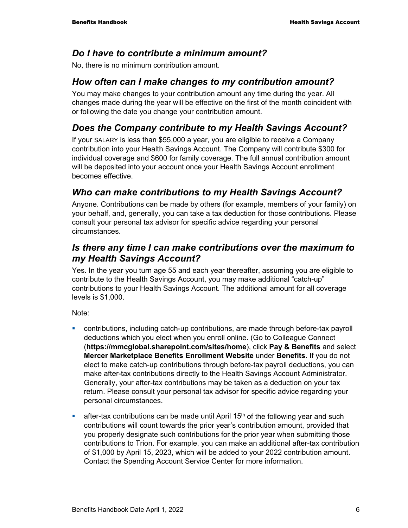#### *Do I have to contribute a minimum amount?*

No, there is no minimum contribution amount.

#### *How often can I make changes to my contribution amount?*

You may make changes to your contribution amount any time during the year. All changes made during the year will be effective on the first of the month coincident with or following the date you change your contribution amount.

#### *Does the Company contribute to my Health Savings Account?*

If your SALARY is less than \$55,000 a year, you are eligible to receive a Company contribution into your Health Savings Account. The Company will contribute \$300 for individual coverage and \$600 for family coverage. The full annual contribution amount will be deposited into your account once your Health Savings Account enrollment becomes effective.

#### *Who can make contributions to my Health Savings Account?*

Anyone. Contributions can be made by others (for example, members of your family) on your behalf, and, generally, you can take a tax deduction for those contributions. Please consult your personal tax advisor for specific advice regarding your personal circumstances.

#### *Is there any time I can make contributions over the maximum to my Health Savings Account?*

Yes. In the year you turn age 55 and each year thereafter, assuming you are eligible to contribute to the Health Savings Account, you may make additional "catch-up" contributions to your Health Savings Account. The additional amount for all coverage levels is \$1,000.

Note:

- contributions, including catch-up contributions, are made through before-tax payroll deductions which you elect when you enroll online. (Go to Colleague Connect (**https://mmcglobal.sharepoint.com/sites/home**), click **Pay & Benefits** and select **Mercer Marketplace Benefits Enrollment Website** under **Benefits**. If you do not elect to make catch-up contributions through before-tax payroll deductions, you can make after-tax contributions directly to the Health Savings Account Administrator. Generally, your after-tax contributions may be taken as a deduction on your tax return. Please consult your personal tax advisor for specific advice regarding your personal circumstances.
- **EXECT** after-tax contributions can be made until April 15<sup>th</sup> of the following year and such contributions will count towards the prior year's contribution amount, provided that you properly designate such contributions for the prior year when submitting those contributions to Trion. For example, you can make an additional after-tax contribution of \$1,000 by April 15, 2023, which will be added to your 2022 contribution amount. Contact the Spending Account Service Center for more information.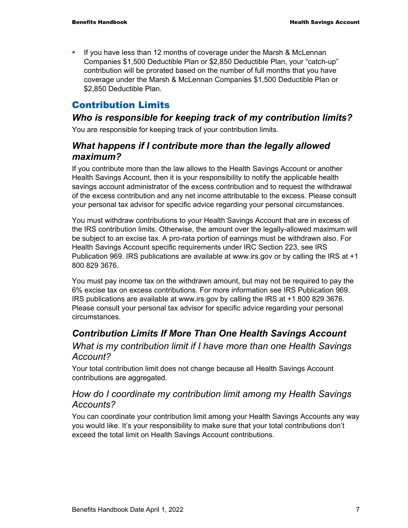If you have less than 12 months of coverage under the Marsh & McLennan Companies \$1,500 Deductible Plan or \$2,850 Deductible Plan, your "catch-up" contribution will be prorated based on the number of full months that you have coverage under the Marsh & McLennan Companies \$1,500 Deductible Plan or \$2,850 Deductible Plan.

### Contribution Limits

#### *Who is responsible for keeping track of my contribution limits?*

You are responsible for keeping track of your contribution limits.

#### *What happens if I contribute more than the legally allowed maximum?*

If you contribute more than the law allows to the Health Savings Account or another Health Savings Account, then it is your responsibility to notify the applicable health savings account administrator of the excess contribution and to request the withdrawal of the excess contribution and any net income attributable to the excess. Please consult your personal tax advisor for specific advice regarding your personal circumstances.

You must withdraw contributions to your Health Savings Account that are in excess of the IRS contribution limits. Otherwise, the amount over the legally-allowed maximum will be subject to an excise tax. A pro-rata portion of earnings must be withdrawn also. For Health Savings Account specific requirements under IRC Section 223, see IRS Publication 969. IRS publications are available at www.irs.gov or by calling the IRS at +1 800 829 3676.

You must pay income tax on the withdrawn amount, but may not be required to pay the 6% excise tax on excess contributions. For more information see IRS Publication 969. IRS publications are available at www.irs.gov by calling the IRS at +1 800 829 3676. Please consult your personal tax advisor for specific advice regarding your personal circumstances.

### *Contribution Limits If More Than One Health Savings Account*

#### *What is my contribution limit if I have more than one Health Savings Account?*

Your total contribution limit does not change because all Health Savings Account contributions are aggregated.

#### *How do I coordinate my contribution limit among my Health Savings Accounts?*

You can coordinate your contribution limit among your Health Savings Accounts any way you would like. It's your responsibility to make sure that your total contributions don't exceed the total limit on Health Savings Account contributions.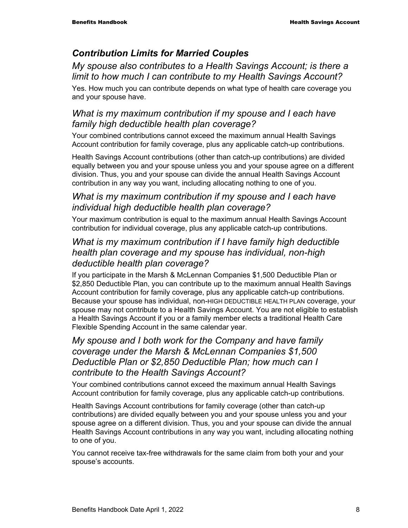#### *Contribution Limits for Married Couples*

*My spouse also contributes to a Health Savings Account; is there a limit to how much I can contribute to my Health Savings Account?* 

Yes. How much you can contribute depends on what type of health care coverage you and your spouse have.

#### *What is my maximum contribution if my spouse and I each have family high deductible health plan coverage?*

Your combined contributions cannot exceed the maximum annual Health Savings Account contribution for family coverage, plus any applicable catch-up contributions.

Health Savings Account contributions (other than catch-up contributions) are divided equally between you and your spouse unless you and your spouse agree on a different division. Thus, you and your spouse can divide the annual Health Savings Account contribution in any way you want, including allocating nothing to one of you.

#### *What is my maximum contribution if my spouse and I each have individual high deductible health plan coverage?*

Your maximum contribution is equal to the maximum annual Health Savings Account contribution for individual coverage, plus any applicable catch-up contributions.

#### *What is my maximum contribution if I have family high deductible health plan coverage and my spouse has individual, non-high deductible health plan coverage?*

If you participate in the Marsh & McLennan Companies \$1,500 Deductible Plan or \$2,850 Deductible Plan, you can contribute up to the maximum annual Health Savings Account contribution for family coverage, plus any applicable catch-up contributions. Because your spouse has individual, non-HIGH DEDUCTIBLE HEALTH PLAN coverage, your spouse may not contribute to a Health Savings Account. You are not eligible to establish a Health Savings Account if you or a family member elects a traditional Health Care Flexible Spending Account in the same calendar year.

#### *My spouse and I both work for the Company and have family coverage under the Marsh & McLennan Companies \$1,500 Deductible Plan or \$2,850 Deductible Plan; how much can I contribute to the Health Savings Account?*

Your combined contributions cannot exceed the maximum annual Health Savings Account contribution for family coverage, plus any applicable catch-up contributions.

Health Savings Account contributions for family coverage (other than catch-up contributions) are divided equally between you and your spouse unless you and your spouse agree on a different division. Thus, you and your spouse can divide the annual Health Savings Account contributions in any way you want, including allocating nothing to one of you.

You cannot receive tax-free withdrawals for the same claim from both your and your spouse's accounts.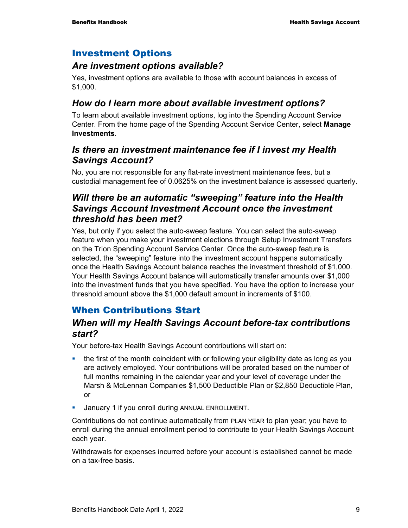#### Investment Options

#### *Are investment options available?*

Yes, investment options are available to those with account balances in excess of \$1,000.

#### *How do I learn more about available investment options?*

To learn about available investment options, log into the Spending Account Service Center. From the home page of the Spending Account Service Center, select **Manage Investments**.

#### *Is there an investment maintenance fee if I invest my Health Savings Account?*

No, you are not responsible for any flat-rate investment maintenance fees, but a custodial management fee of 0.0625% on the investment balance is assessed quarterly.

#### *Will there be an automatic "sweeping" feature into the Health Savings Account Investment Account once the investment threshold has been met?*

Yes, but only if you select the auto-sweep feature. You can select the auto-sweep feature when you make your investment elections through Setup Investment Transfers on the Trion Spending Account Service Center. Once the auto-sweep feature is selected, the "sweeping" feature into the investment account happens automatically once the Health Savings Account balance reaches the investment threshold of \$1,000. Your Health Savings Account balance will automatically transfer amounts over \$1,000 into the investment funds that you have specified. You have the option to increase your threshold amount above the \$1,000 default amount in increments of \$100.

### When Contributions Start

#### *When will my Health Savings Account before-tax contributions start?*

Your before-tax Health Savings Account contributions will start on:

- the first of the month coincident with or following your eligibility date as long as you are actively employed. Your contributions will be prorated based on the number of full months remaining in the calendar year and your level of coverage under the Marsh & McLennan Companies \$1,500 Deductible Plan or \$2,850 Deductible Plan, or
- January 1 if you enroll during ANNUAL ENROLLMENT.

Contributions do not continue automatically from PLAN YEAR to plan year; you have to enroll during the annual enrollment period to contribute to your Health Savings Account each year.

Withdrawals for expenses incurred before your account is established cannot be made on a tax-free basis.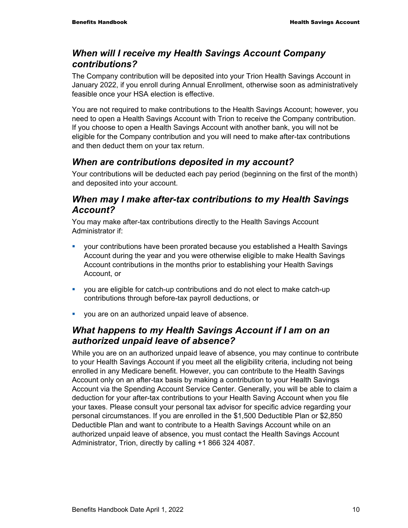#### *When will I receive my Health Savings Account Company contributions?*

The Company contribution will be deposited into your Trion Health Savings Account in January 2022, if you enroll during Annual Enrollment, otherwise soon as administratively feasible once your HSA election is effective.

You are not required to make contributions to the Health Savings Account; however, you need to open a Health Savings Account with Trion to receive the Company contribution. If you choose to open a Health Savings Account with another bank, you will not be eligible for the Company contribution and you will need to make after-tax contributions and then deduct them on your tax return.

### *When are contributions deposited in my account?*

Your contributions will be deducted each pay period (beginning on the first of the month) and deposited into your account.

#### *When may I make after-tax contributions to my Health Savings Account?*

You may make after-tax contributions directly to the Health Savings Account Administrator if:

- your contributions have been prorated because you established a Health Savings Account during the year and you were otherwise eligible to make Health Savings Account contributions in the months prior to establishing your Health Savings Account, or
- you are eligible for catch-up contributions and do not elect to make catch-up contributions through before-tax payroll deductions, or
- **•** you are on an authorized unpaid leave of absence.

#### *What happens to my Health Savings Account if I am on an authorized unpaid leave of absence?*

While you are on an authorized unpaid leave of absence, you may continue to contribute to your Health Savings Account if you meet all the eligibility criteria, including not being enrolled in any Medicare benefit. However, you can contribute to the Health Savings Account only on an after-tax basis by making a contribution to your Health Savings Account via the Spending Account Service Center. Generally, you will be able to claim a deduction for your after-tax contributions to your Health Saving Account when you file your taxes. Please consult your personal tax advisor for specific advice regarding your personal circumstances. If you are enrolled in the \$1,500 Deductible Plan or \$2,850 Deductible Plan and want to contribute to a Health Savings Account while on an authorized unpaid leave of absence, you must contact the Health Savings Account Administrator, Trion, directly by calling +1 866 324 4087.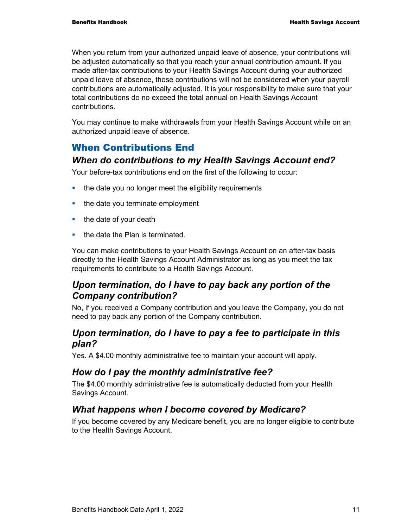When you return from your authorized unpaid leave of absence, your contributions will be adjusted automatically so that you reach your annual contribution amount. If you made after-tax contributions to your Health Savings Account during your authorized unpaid leave of absence, those contributions will not be considered when your payroll contributions are automatically adjusted. It is your responsibility to make sure that your total contributions do no exceed the total annual on Health Savings Account contributions.

You may continue to make withdrawals from your Health Savings Account while on an authorized unpaid leave of absence.

### When Contributions End

### *When do contributions to my Health Savings Account end?*

Your before-tax contributions end on the first of the following to occur:

- the date you no longer meet the eligibility requirements
- $\blacksquare$  the date you terminate employment
- $\blacksquare$  the date of your death
- $\blacksquare$  the date the Plan is terminated.

You can make contributions to your Health Savings Account on an after-tax basis directly to the Health Savings Account Administrator as long as you meet the tax requirements to contribute to a Health Savings Account.

#### *Upon termination, do I have to pay back any portion of the Company contribution?*

No, if you received a Company contribution and you leave the Company, you do not need to pay back any portion of the Company contribution.

#### *Upon termination, do I have to pay a fee to participate in this plan?*

Yes. A \$4.00 monthly administrative fee to maintain your account will apply.

#### *How do I pay the monthly administrative fee?*

The \$4.00 monthly administrative fee is automatically deducted from your Health Savings Account.

#### *What happens when I become covered by Medicare?*

If you become covered by any Medicare benefit, you are no longer eligible to contribute to the Health Savings Account.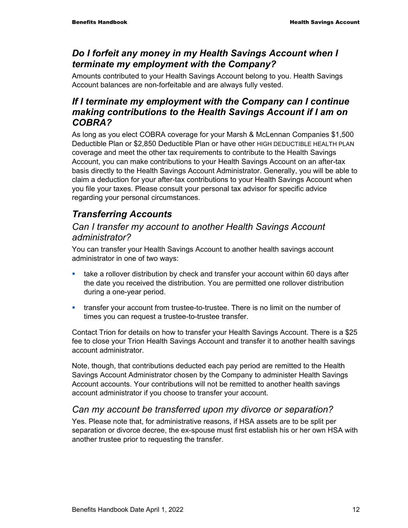#### *Do I forfeit any money in my Health Savings Account when I terminate my employment with the Company?*

Amounts contributed to your Health Savings Account belong to you. Health Savings Account balances are non-forfeitable and are always fully vested.

### *If I terminate my employment with the Company can I continue making contributions to the Health Savings Account if I am on COBRA?*

As long as you elect COBRA coverage for your Marsh & McLennan Companies \$1,500 Deductible Plan or \$2,850 Deductible Plan or have other HIGH DEDUCTIBLE HEALTH PLAN coverage and meet the other tax requirements to contribute to the Health Savings Account, you can make contributions to your Health Savings Account on an after-tax basis directly to the Health Savings Account Administrator. Generally, you will be able to claim a deduction for your after-tax contributions to your Health Savings Account when you file your taxes. Please consult your personal tax advisor for specific advice regarding your personal circumstances.

### *Transferring Accounts*

#### *Can I transfer my account to another Health Savings Account administrator?*

You can transfer your Health Savings Account to another health savings account administrator in one of two ways:

- **take a rollover distribution by check and transfer your account within 60 days after** the date you received the distribution. You are permitted one rollover distribution during a one-year period.
- transfer your account from trustee-to-trustee. There is no limit on the number of times you can request a trustee-to-trustee transfer.

Contact Trion for details on how to transfer your Health Savings Account. There is a \$25 fee to close your Trion Health Savings Account and transfer it to another health savings account administrator.

Note, though, that contributions deducted each pay period are remitted to the Health Savings Account Administrator chosen by the Company to administer Health Savings Account accounts. Your contributions will not be remitted to another health savings account administrator if you choose to transfer your account.

#### *Can my account be transferred upon my divorce or separation?*

Yes. Please note that, for administrative reasons, if HSA assets are to be split per separation or divorce decree, the ex-spouse must first establish his or her own HSA with another trustee prior to requesting the transfer.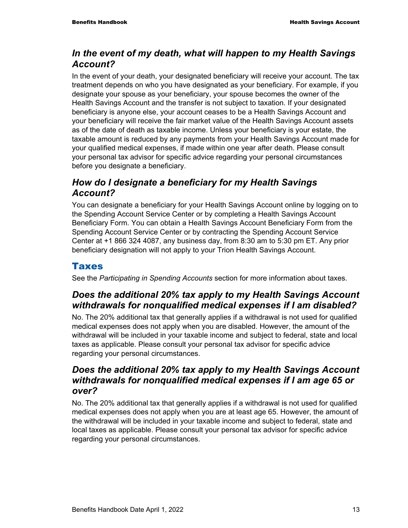#### *In the event of my death, what will happen to my Health Savings Account?*

In the event of your death, your designated beneficiary will receive your account. The tax treatment depends on who you have designated as your beneficiary. For example, if you designate your spouse as your beneficiary, your spouse becomes the owner of the Health Savings Account and the transfer is not subject to taxation. If your designated beneficiary is anyone else, your account ceases to be a Health Savings Account and your beneficiary will receive the fair market value of the Health Savings Account assets as of the date of death as taxable income. Unless your beneficiary is your estate, the taxable amount is reduced by any payments from your Health Savings Account made for your qualified medical expenses, if made within one year after death. Please consult your personal tax advisor for specific advice regarding your personal circumstances before you designate a beneficiary.

#### *How do I designate a beneficiary for my Health Savings Account?*

You can designate a beneficiary for your Health Savings Account online by logging on to the Spending Account Service Center or by completing a Health Savings Account Beneficiary Form. You can obtain a Health Savings Account Beneficiary Form from the Spending Account Service Center or by contracting the Spending Account Service Center at +1 866 324 4087, any business day, from 8:30 am to 5:30 pm ET. Any prior beneficiary designation will not apply to your Trion Health Savings Account.

### Taxes

See the *Participating in Spending Accounts* section for more information about taxes.

#### *Does the additional 20% tax apply to my Health Savings Account withdrawals for nonqualified medical expenses if I am disabled?*

No. The 20% additional tax that generally applies if a withdrawal is not used for qualified medical expenses does not apply when you are disabled. However, the amount of the withdrawal will be included in your taxable income and subject to federal, state and local taxes as applicable. Please consult your personal tax advisor for specific advice regarding your personal circumstances.

#### *Does the additional 20% tax apply to my Health Savings Account withdrawals for nonqualified medical expenses if I am age 65 or over?*

No. The 20% additional tax that generally applies if a withdrawal is not used for qualified medical expenses does not apply when you are at least age 65. However, the amount of the withdrawal will be included in your taxable income and subject to federal, state and local taxes as applicable. Please consult your personal tax advisor for specific advice regarding your personal circumstances.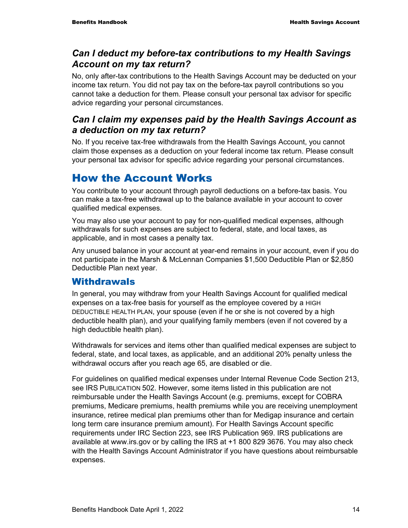#### *Can I deduct my before-tax contributions to my Health Savings Account on my tax return?*

No, only after-tax contributions to the Health Savings Account may be deducted on your income tax return. You did not pay tax on the before-tax payroll contributions so you cannot take a deduction for them. Please consult your personal tax advisor for specific advice regarding your personal circumstances.

#### *Can I claim my expenses paid by the Health Savings Account as a deduction on my tax return?*

No. If you receive tax-free withdrawals from the Health Savings Account, you cannot claim those expenses as a deduction on your federal income tax return. Please consult your personal tax advisor for specific advice regarding your personal circumstances.

## How the Account Works

You contribute to your account through payroll deductions on a before-tax basis. You can make a tax-free withdrawal up to the balance available in your account to cover qualified medical expenses.

You may also use your account to pay for non-qualified medical expenses, although withdrawals for such expenses are subject to federal, state, and local taxes, as applicable, and in most cases a penalty tax.

Any unused balance in your account at year-end remains in your account, even if you do not participate in the Marsh & McLennan Companies \$1,500 Deductible Plan or \$2,850 Deductible Plan next year.

#### Withdrawals

In general, you may withdraw from your Health Savings Account for qualified medical expenses on a tax-free basis for yourself as the employee covered by a HIGH DEDUCTIBLE HEALTH PLAN, your spouse (even if he or she is not covered by a high deductible health plan), and your qualifying family members (even if not covered by a high deductible health plan).

Withdrawals for services and items other than qualified medical expenses are subject to federal, state, and local taxes, as applicable, and an additional 20% penalty unless the withdrawal occurs after you reach age 65, are disabled or die.

For guidelines on qualified medical expenses under Internal Revenue Code Section 213, see IRS PUBLICATION 502. However, some items listed in this publication are not reimbursable under the Health Savings Account (e.g. premiums, except for COBRA premiums, Medicare premiums, health premiums while you are receiving unemployment insurance, retiree medical plan premiums other than for Medigap insurance and certain long term care insurance premium amount). For Health Savings Account specific requirements under IRC Section 223, see IRS Publication 969. IRS publications are available at www.irs.gov or by calling the IRS at +1 800 829 3676. You may also check with the Health Savings Account Administrator if you have questions about reimbursable expenses.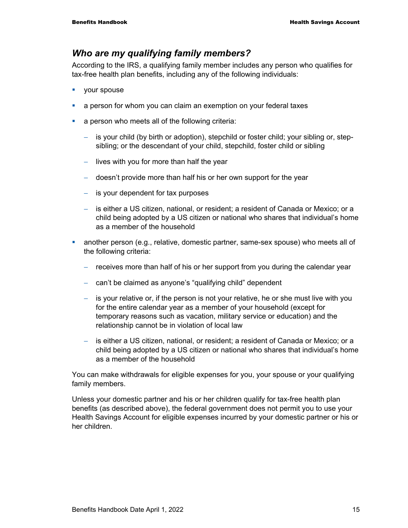#### *Who are my qualifying family members?*

According to the IRS, a qualifying family member includes any person who qualifies for tax-free health plan benefits, including any of the following individuals:

- vour spouse
- a person for whom you can claim an exemption on your federal taxes
- **a** person who meets all of the following criteria:
	- − is your child (by birth or adoption), stepchild or foster child; your sibling or, stepsibling; or the descendant of your child, stepchild, foster child or sibling
	- − lives with you for more than half the year
	- − doesn't provide more than half his or her own support for the year
	- − is your dependent for tax purposes
	- − is either a US citizen, national, or resident; a resident of Canada or Mexico; or a child being adopted by a US citizen or national who shares that individual's home as a member of the household
- another person (e.g., relative, domestic partner, same-sex spouse) who meets all of the following criteria:
	- − receives more than half of his or her support from you during the calendar year
	- − can't be claimed as anyone's "qualifying child" dependent
	- − is your relative or, if the person is not your relative, he or she must live with you for the entire calendar year as a member of your household (except for temporary reasons such as vacation, military service or education) and the relationship cannot be in violation of local law
	- − is either a US citizen, national, or resident; a resident of Canada or Mexico; or a child being adopted by a US citizen or national who shares that individual's home as a member of the household

You can make withdrawals for eligible expenses for you, your spouse or your qualifying family members.

Unless your domestic partner and his or her children qualify for tax-free health plan benefits (as described above), the federal government does not permit you to use your Health Savings Account for eligible expenses incurred by your domestic partner or his or her children.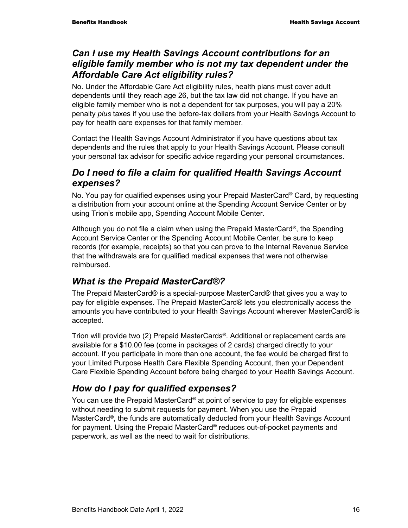### *Can I use my Health Savings Account contributions for an eligible family member who is not my tax dependent under the Affordable Care Act eligibility rules?*

No. Under the Affordable Care Act eligibility rules, health plans must cover adult dependents until they reach age 26, but the tax law did not change. If you have an eligible family member who is not a dependent for tax purposes, you will pay a 20% penalty *plus* taxes if you use the before-tax dollars from your Health Savings Account to pay for health care expenses for that family member.

Contact the Health Savings Account Administrator if you have questions about tax dependents and the rules that apply to your Health Savings Account. Please consult your personal tax advisor for specific advice regarding your personal circumstances.

### *Do I need to file a claim for qualified Health Savings Account expenses?*

No. You pay for qualified expenses using your Prepaid MasterCard<sup>®</sup> Card, by requesting a distribution from your account online at the Spending Account Service Center or by using Trion's mobile app, Spending Account Mobile Center.

Although you do not file a claim when using the Prepaid MasterCard®, the Spending Account Service Center or the Spending Account Mobile Center, be sure to keep records (for example, receipts) so that you can prove to the Internal Revenue Service that the withdrawals are for qualified medical expenses that were not otherwise reimbursed.

### *What is the Prepaid MasterCard®?*

The Prepaid MasterCard® is a special-purpose MasterCard® that gives you a way to pay for eligible expenses. The Prepaid MasterCard® lets you electronically access the amounts you have contributed to your Health Savings Account wherever MasterCard® is accepted.

Trion will provide two (2) Prepaid MasterCards®. Additional or replacement cards are available for a \$10.00 fee (come in packages of 2 cards) charged directly to your account. If you participate in more than one account, the fee would be charged first to your Limited Purpose Health Care Flexible Spending Account, then your Dependent Care Flexible Spending Account before being charged to your Health Savings Account.

## *How do I pay for qualified expenses?*

You can use the Prepaid MasterCard® at point of service to pay for eligible expenses without needing to submit requests for payment. When you use the Prepaid MasterCard®, the funds are automatically deducted from your Health Savings Account for payment. Using the Prepaid MasterCard® reduces out-of-pocket payments and paperwork, as well as the need to wait for distributions.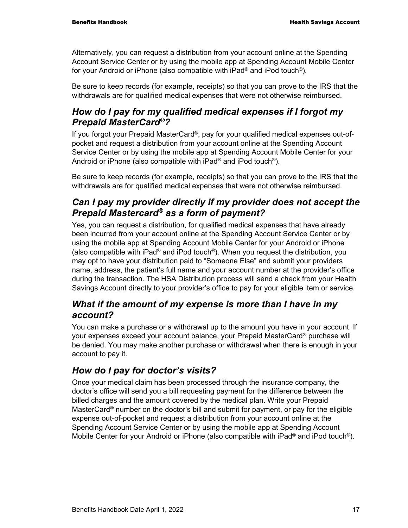Alternatively, you can request a distribution from your account online at the Spending Account Service Center or by using the mobile app at Spending Account Mobile Center for your Android or iPhone (also compatible with iPad® and iPod touch®).

Be sure to keep records (for example, receipts) so that you can prove to the IRS that the withdrawals are for qualified medical expenses that were not otherwise reimbursed.

#### *How do I pay for my qualified medical expenses if I forgot my Prepaid MasterCard®?*

If you forgot your Prepaid MasterCard®, pay for your qualified medical expenses out-ofpocket and request a distribution from your account online at the Spending Account Service Center or by using the mobile app at Spending Account Mobile Center for your Android or iPhone (also compatible with iPad® and iPod touch®).

Be sure to keep records (for example, receipts) so that you can prove to the IRS that the withdrawals are for qualified medical expenses that were not otherwise reimbursed.

#### *Can I pay my provider directly if my provider does not accept the Prepaid Mastercard® as a form of payment?*

Yes, you can request a distribution, for qualified medical expenses that have already been incurred from your account online at the Spending Account Service Center or by using the mobile app at Spending Account Mobile Center for your Android or iPhone (also compatible with iPad® and iPod touch®). When you request the distribution, you may opt to have your distribution paid to "Someone Else" and submit your providers name, address, the patient's full name and your account number at the provider's office during the transaction. The HSA Distribution process will send a check from your Health Savings Account directly to your provider's office to pay for your eligible item or service.

#### *What if the amount of my expense is more than I have in my account?*

You can make a purchase or a withdrawal up to the amount you have in your account. If your expenses exceed your account balance, your Prepaid MasterCard® purchase will be denied. You may make another purchase or withdrawal when there is enough in your account to pay it.

#### *How do I pay for doctor's visits?*

Once your medical claim has been processed through the insurance company, the doctor's office will send you a bill requesting payment for the difference between the billed charges and the amount covered by the medical plan. Write your Prepaid MasterCard<sup>®</sup> number on the doctor's bill and submit for payment, or pay for the eligible expense out-of-pocket and request a distribution from your account online at the Spending Account Service Center or by using the mobile app at Spending Account Mobile Center for your Android or iPhone (also compatible with iPad® and iPod touch®).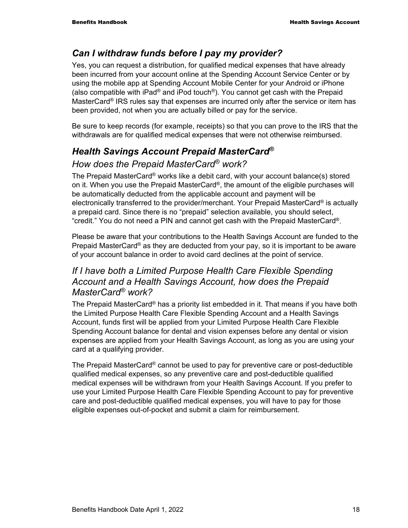#### *Can I withdraw funds before I pay my provider?*

Yes, you can request a distribution, for qualified medical expenses that have already been incurred from your account online at the Spending Account Service Center or by using the mobile app at Spending Account Mobile Center for your Android or iPhone (also compatible with iPad<sup>®</sup> and iPod touch<sup>®</sup>). You cannot get cash with the Prepaid MasterCard® IRS rules say that expenses are incurred only after the service or item has been provided, not when you are actually billed or pay for the service.

Be sure to keep records (for example, receipts) so that you can prove to the IRS that the withdrawals are for qualified medical expenses that were not otherwise reimbursed.

### *Health Savings Account Prepaid MasterCard® How does the Prepaid MasterCard® work?*

The Prepaid MasterCard® works like a debit card, with your account balance(s) stored on it. When you use the Prepaid MasterCard®, the amount of the eligible purchases will be automatically deducted from the applicable account and payment will be electronically transferred to the provider/merchant. Your Prepaid MasterCard® is actually a prepaid card. Since there is no "prepaid" selection available, you should select, "credit." You do not need a PIN and cannot get cash with the Prepaid MasterCard®.

Please be aware that your contributions to the Health Savings Account are funded to the Prepaid MasterCard® as they are deducted from your pay, so it is important to be aware of your account balance in order to avoid card declines at the point of service.

#### *If I have both a Limited Purpose Health Care Flexible Spending Account and a Health Savings Account, how does the Prepaid MasterCard® work?*

The Prepaid MasterCard® has a priority list embedded in it. That means if you have both the Limited Purpose Health Care Flexible Spending Account and a Health Savings Account, funds first will be applied from your Limited Purpose Health Care Flexible Spending Account balance for dental and vision expenses before any dental or vision expenses are applied from your Health Savings Account, as long as you are using your card at a qualifying provider.

The Prepaid MasterCard<sup>®</sup> cannot be used to pay for preventive care or post-deductible qualified medical expenses, so any preventive care and post-deductible qualified medical expenses will be withdrawn from your Health Savings Account. If you prefer to use your Limited Purpose Health Care Flexible Spending Account to pay for preventive care and post-deductible qualified medical expenses, you will have to pay for those eligible expenses out-of-pocket and submit a claim for reimbursement.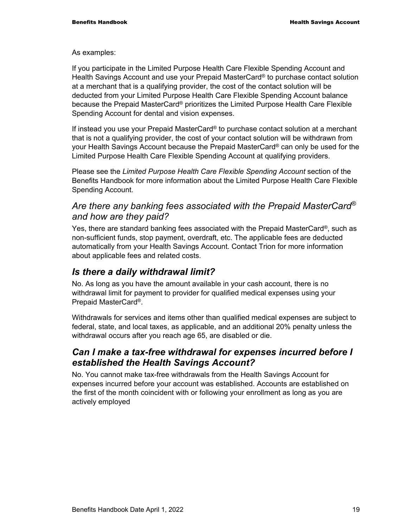As examples:

If you participate in the Limited Purpose Health Care Flexible Spending Account and Health Savings Account and use your Prepaid MasterCard<sup>®</sup> to purchase contact solution at a merchant that is a qualifying provider, the cost of the contact solution will be deducted from your Limited Purpose Health Care Flexible Spending Account balance because the Prepaid MasterCard® prioritizes the Limited Purpose Health Care Flexible Spending Account for dental and vision expenses.

If instead you use your Prepaid MasterCard<sup>®</sup> to purchase contact solution at a merchant that is not a qualifying provider, the cost of your contact solution will be withdrawn from your Health Savings Account because the Prepaid MasterCard® can only be used for the Limited Purpose Health Care Flexible Spending Account at qualifying providers.

Please see the *Limited Purpose Health Care Flexible Spending Account* section of the Benefits Handbook for more information about the Limited Purpose Health Care Flexible Spending Account.

#### *Are there any banking fees associated with the Prepaid MasterCard® and how are they paid?*

Yes, there are standard banking fees associated with the Prepaid MasterCard®, such as non-sufficient funds, stop payment, overdraft, etc. The applicable fees are deducted automatically from your Health Savings Account. Contact Trion for more information about applicable fees and related costs.

#### *Is there a daily withdrawal limit?*

No. As long as you have the amount available in your cash account, there is no withdrawal limit for payment to provider for qualified medical expenses using your Prepaid MasterCard®.

Withdrawals for services and items other than qualified medical expenses are subject to federal, state, and local taxes, as applicable, and an additional 20% penalty unless the withdrawal occurs after you reach age 65, are disabled or die.

#### *Can I make a tax-free withdrawal for expenses incurred before I established the Health Savings Account?*

No. You cannot make tax-free withdrawals from the Health Savings Account for expenses incurred before your account was established. Accounts are established on the first of the month coincident with or following your enrollment as long as you are actively employed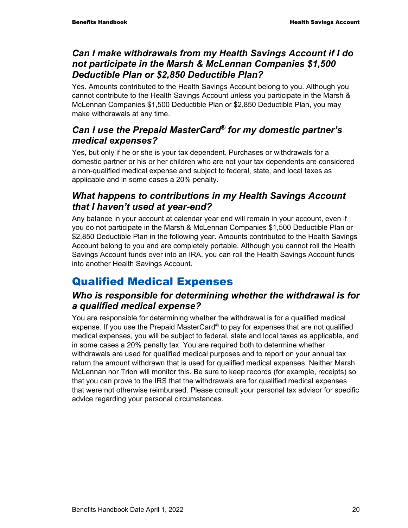#### *Can I make withdrawals from my Health Savings Account if I do not participate in the Marsh & McLennan Companies \$1,500 Deductible Plan or \$2,850 Deductible Plan?*

Yes. Amounts contributed to the Health Savings Account belong to you. Although you cannot contribute to the Health Savings Account unless you participate in the Marsh & McLennan Companies \$1,500 Deductible Plan or \$2,850 Deductible Plan, you may make withdrawals at any time.

### *Can I use the Prepaid MasterCard® for my domestic partner's medical expenses?*

Yes, but only if he or she is your tax dependent. Purchases or withdrawals for a domestic partner or his or her children who are not your tax dependents are considered a non-qualified medical expense and subject to federal, state, and local taxes as applicable and in some cases a 20% penalty.

### *What happens to contributions in my Health Savings Account that I haven't used at year-end?*

Any balance in your account at calendar year end will remain in your account, even if you do not participate in the Marsh & McLennan Companies \$1,500 Deductible Plan or \$2,850 Deductible Plan in the following year. Amounts contributed to the Health Savings Account belong to you and are completely portable. Although you cannot roll the Health Savings Account funds over into an IRA, you can roll the Health Savings Account funds into another Health Savings Account.

## Qualified Medical Expenses

### *Who is responsible for determining whether the withdrawal is for a qualified medical expense?*

You are responsible for determining whether the withdrawal is for a qualified medical expense. If you use the Prepaid MasterCard® to pay for expenses that are not qualified medical expenses, you will be subject to federal, state and local taxes as applicable, and in some cases a 20% penalty tax. You are required both to determine whether withdrawals are used for qualified medical purposes and to report on your annual tax return the amount withdrawn that is used for qualified medical expenses. Neither Marsh McLennan nor Trion will monitor this. Be sure to keep records (for example, receipts) so that you can prove to the IRS that the withdrawals are for qualified medical expenses that were not otherwise reimbursed. Please consult your personal tax advisor for specific advice regarding your personal circumstances.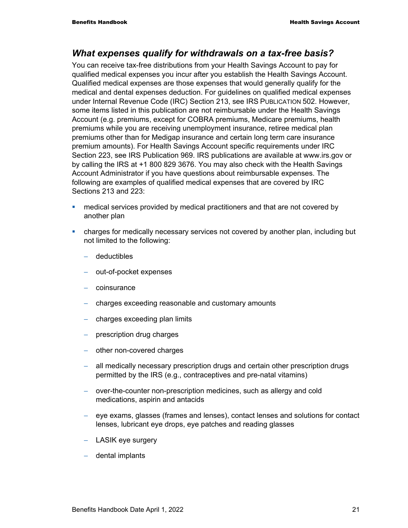#### *What expenses qualify for withdrawals on a tax-free basis?*

You can receive tax-free distributions from your Health Savings Account to pay for qualified medical expenses you incur after you establish the Health Savings Account. Qualified medical expenses are those expenses that would generally qualify for the medical and dental expenses deduction. For guidelines on qualified medical expenses under Internal Revenue Code (IRC) Section 213, see IRS PUBLICATION 502. However, some items listed in this publication are not reimbursable under the Health Savings Account (e.g. premiums, except for COBRA premiums, Medicare premiums, health premiums while you are receiving unemployment insurance, retiree medical plan premiums other than for Medigap insurance and certain long term care insurance premium amounts). For Health Savings Account specific requirements under IRC Section 223, see IRS Publication 969. IRS publications are available at www.irs.gov or by calling the IRS at +1 800 829 3676. You may also check with the Health Savings Account Administrator if you have questions about reimbursable expenses. The following are examples of qualified medical expenses that are covered by IRC Sections 213 and 223:

- medical services provided by medical practitioners and that are not covered by another plan
- charges for medically necessary services not covered by another plan, including but not limited to the following:
	- − deductibles
	- − out-of-pocket expenses
	- − coinsurance
	- − charges exceeding reasonable and customary amounts
	- − charges exceeding plan limits
	- − prescription drug charges
	- − other non-covered charges
	- − all medically necessary prescription drugs and certain other prescription drugs permitted by the IRS (e.g., contraceptives and pre-natal vitamins)
	- − over-the-counter non-prescription medicines, such as allergy and cold medications, aspirin and antacids
	- − eye exams, glasses (frames and lenses), contact lenses and solutions for contact lenses, lubricant eye drops, eye patches and reading glasses
	- − LASIK eye surgery
	- − dental implants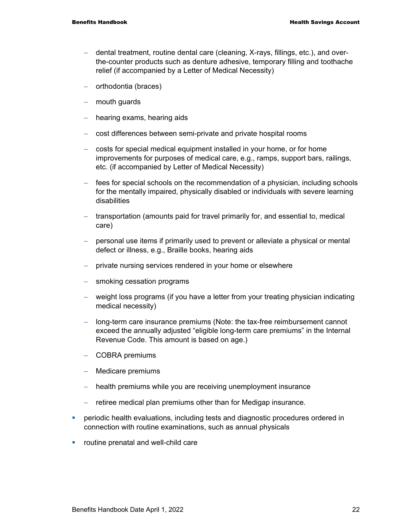- − dental treatment, routine dental care (cleaning, X-rays, fillings, etc.), and overthe-counter products such as denture adhesive, temporary filling and toothache relief (if accompanied by a Letter of Medical Necessity)
- − orthodontia (braces)
- mouth guards
- − hearing exams, hearing aids
- − cost differences between semi-private and private hospital rooms
- − costs for special medical equipment installed in your home, or for home improvements for purposes of medical care, e.g., ramps, support bars, railings, etc. (if accompanied by Letter of Medical Necessity)
- fees for special schools on the recommendation of a physician, including schools for the mentally impaired, physically disabled or individuals with severe learning disabilities
- − transportation (amounts paid for travel primarily for, and essential to, medical care)
- − personal use items if primarily used to prevent or alleviate a physical or mental defect or illness, e.g., Braille books, hearing aids
- − private nursing services rendered in your home or elsewhere
- − smoking cessation programs
- − weight loss programs (if you have a letter from your treating physician indicating medical necessity)
- − long-term care insurance premiums (Note: the tax-free reimbursement cannot exceed the annually adjusted "eligible long-term care premiums" in the Internal Revenue Code. This amount is based on age.)
- − COBRA premiums
- − Medicare premiums
- − health premiums while you are receiving unemployment insurance
- retiree medical plan premiums other than for Medigap insurance.
- **PERIODIATE:** periodic health evaluations, including tests and diagnostic procedures ordered in connection with routine examinations, such as annual physicals
- **•** routine prenatal and well-child care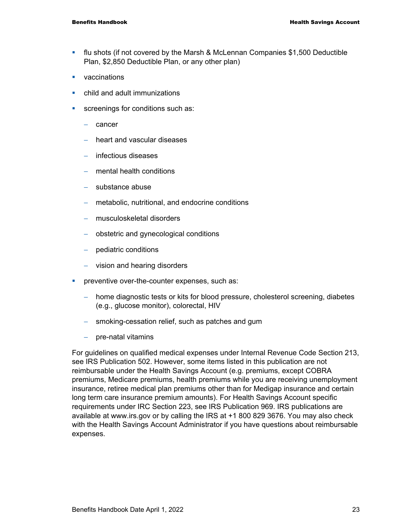- flu shots (if not covered by the Marsh & McLennan Companies \$1,500 Deductible Plan, \$2,850 Deductible Plan, or any other plan)
- **vaccinations**
- **•** child and adult immunizations
- **screenings for conditions such as:** 
	- − cancer
	- − heart and vascular diseases
	- − infectious diseases
	- − mental health conditions
	- − substance abuse
	- − metabolic, nutritional, and endocrine conditions
	- − musculoskeletal disorders
	- − obstetric and gynecological conditions
	- − pediatric conditions
	- − vision and hearing disorders
- **PEDITE:** preventive over-the-counter expenses, such as:
	- − home diagnostic tests or kits for blood pressure, cholesterol screening, diabetes (e.g., glucose monitor), colorectal, HIV
	- − smoking-cessation relief, such as patches and gum
	- − pre-natal vitamins

For guidelines on qualified medical expenses under Internal Revenue Code Section 213, see IRS Publication 502. However, some items listed in this publication are not reimbursable under the Health Savings Account (e.g. premiums, except COBRA premiums, Medicare premiums, health premiums while you are receiving unemployment insurance, retiree medical plan premiums other than for Medigap insurance and certain long term care insurance premium amounts). For Health Savings Account specific requirements under IRC Section 223, see IRS Publication 969. IRS publications are available at www.irs.gov or by calling the IRS at +1 800 829 3676. You may also check with the Health Savings Account Administrator if you have questions about reimbursable expenses.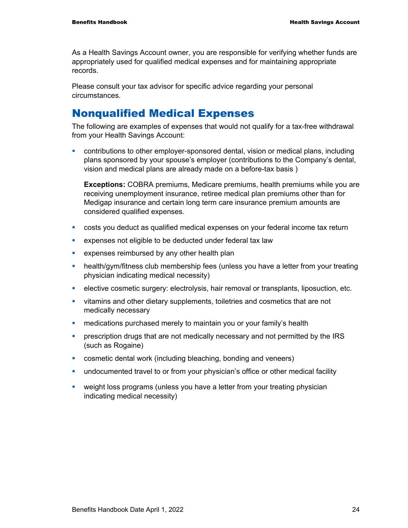As a Health Savings Account owner, you are responsible for verifying whether funds are appropriately used for qualified medical expenses and for maintaining appropriate records.

Please consult your tax advisor for specific advice regarding your personal circumstances.

### Nonqualified Medical Expenses

The following are examples of expenses that would not qualify for a tax-free withdrawal from your Health Savings Account:

 contributions to other employer-sponsored dental, vision or medical plans, including plans sponsored by your spouse's employer (contributions to the Company's dental, vision and medical plans are already made on a before-tax basis )

**Exceptions:** COBRA premiums, Medicare premiums, health premiums while you are receiving unemployment insurance, retiree medical plan premiums other than for Medigap insurance and certain long term care insurance premium amounts are considered qualified expenses.

- costs you deduct as qualified medical expenses on your federal income tax return
- expenses not eligible to be deducted under federal tax law
- **EXPENSES FEERS** reimbursed by any other health plan
- health/gym/fitness club membership fees (unless you have a letter from your treating physician indicating medical necessity)
- elective cosmetic surgery: electrolysis, hair removal or transplants, liposuction, etc.
- vitamins and other dietary supplements, toiletries and cosmetics that are not medically necessary
- **EXT** medications purchased merely to maintain you or your family's health
- **PERCO FIGURE 1 prescription drugs that are not medically necessary and not permitted by the IRS** (such as Rogaine)
- **EXP** cosmetic dental work (including bleaching, bonding and veneers)
- undocumented travel to or from your physician's office or other medical facility
- weight loss programs (unless you have a letter from your treating physician indicating medical necessity)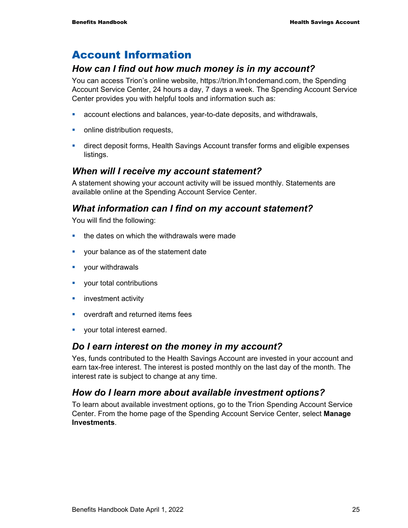## Account Information

#### *How can I find out how much money is in my account?*

You can access Trion's online website, https://trion.lh1ondemand.com, the Spending Account Service Center, 24 hours a day, 7 days a week. The Spending Account Service Center provides you with helpful tools and information such as:

- account elections and balances, year-to-date deposits, and withdrawals,
- online distribution requests,
- direct deposit forms, Health Savings Account transfer forms and eligible expenses listings.

#### *When will I receive my account statement?*

A statement showing your account activity will be issued monthly. Statements are available online at the Spending Account Service Center.

#### *What information can I find on my account statement?*

You will find the following:

- $\blacksquare$  the dates on which the withdrawals were made
- vour balance as of the statement date
- your withdrawals
- **v** your total contributions
- **investment activity**
- **•** overdraft and returned items fees
- **vour total interest earned.**

#### *Do I earn interest on the money in my account?*

Yes, funds contributed to the Health Savings Account are invested in your account and earn tax-free interest. The interest is posted monthly on the last day of the month. The interest rate is subject to change at any time.

#### *How do I learn more about available investment options?*

To learn about available investment options, go to the Trion Spending Account Service Center. From the home page of the Spending Account Service Center, select **Manage Investments**.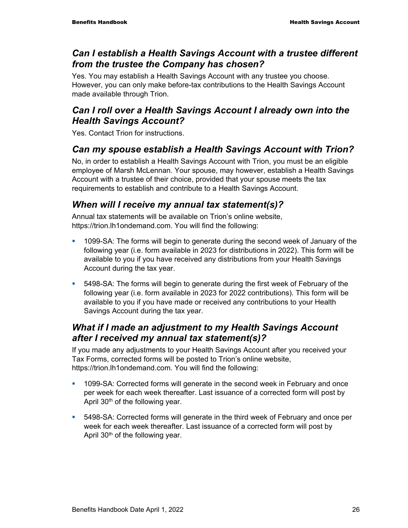#### *Can I establish a Health Savings Account with a trustee different from the trustee the Company has chosen?*

Yes. You may establish a Health Savings Account with any trustee you choose. However, you can only make before-tax contributions to the Health Savings Account made available through Trion.

### *Can I roll over a Health Savings Account I already own into the Health Savings Account?*

Yes. Contact Trion for instructions.

#### *Can my spouse establish a Health Savings Account with Trion?*

No, in order to establish a Health Savings Account with Trion, you must be an eligible employee of Marsh McLennan. Your spouse, may however, establish a Health Savings Account with a trustee of their choice, provided that your spouse meets the tax requirements to establish and contribute to a Health Savings Account.

#### *When will I receive my annual tax statement(s)?*

Annual tax statements will be available on Trion's online website, https://trion.lh1ondemand.com. You will find the following:

- **1099-SA: The forms will begin to generate during the second week of January of the** following year (i.e. form available in 2023 for distributions in 2022). This form will be available to you if you have received any distributions from your Health Savings Account during the tax year.
- 5498-SA: The forms will begin to generate during the first week of February of the following year (i.e. form available in 2023 for 2022 contributions). This form will be available to you if you have made or received any contributions to your Health Savings Account during the tax year.

### *What if I made an adjustment to my Health Savings Account after I received my annual tax statement(s)?*

If you made any adjustments to your Health Savings Account after you received your Tax Forms, corrected forms will be posted to Trion's online website, https://trion.lh1ondemand.com. You will find the following:

- 1099-SA: Corrected forms will generate in the second week in February and once per week for each week thereafter. Last issuance of a corrected form will post by April 30<sup>th</sup> of the following year.
- 5498-SA: Corrected forms will generate in the third week of February and once per week for each week thereafter. Last issuance of a corrected form will post by April 30<sup>th</sup> of the following year.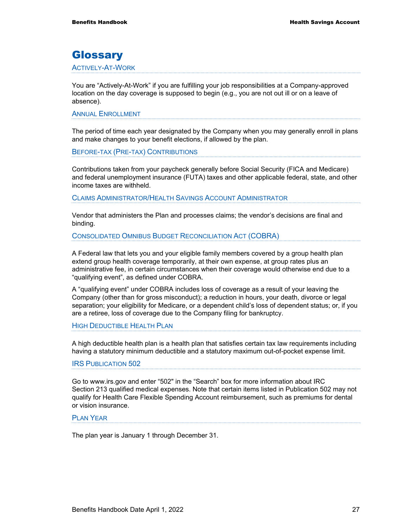## **Glossary**

ACTIVELY-AT-WORK

You are "Actively-At-Work" if you are fulfilling your job responsibilities at a Company-approved location on the day coverage is supposed to begin (e.g., you are not out ill or on a leave of absence).

ANNUAL ENROLLMENT

The period of time each year designated by the Company when you may generally enroll in plans and make changes to your benefit elections, if allowed by the plan.

BEFORE-TAX (PRE-TAX) CONTRIBUTIONS

Contributions taken from your paycheck generally before Social Security (FICA and Medicare) and federal unemployment insurance (FUTA) taxes and other applicable federal, state, and other income taxes are withheld.

CLAIMS ADMINISTRATOR/HEALTH SAVINGS ACCOUNT ADMINISTRATOR

Vendor that administers the Plan and processes claims; the vendor's decisions are final and binding.

CONSOLIDATED OMNIBUS BUDGET RECONCILIATION ACT (COBRA)

A Federal law that lets you and your eligible family members covered by a group health plan extend group health coverage temporarily, at their own expense, at group rates plus an administrative fee, in certain circumstances when their coverage would otherwise end due to a "qualifying event", as defined under COBRA.

A "qualifying event" under COBRA includes loss of coverage as a result of your leaving the Company (other than for gross misconduct); a reduction in hours, your death, divorce or legal separation; your eligibility for Medicare, or a dependent child's loss of dependent status; or, if you are a retiree, loss of coverage due to the Company filing for bankruptcy.

#### HIGH DEDUCTIBLE HEALTH PLAN

A high deductible health plan is a health plan that satisfies certain tax law requirements including having a statutory minimum deductible and a statutory maximum out-of-pocket expense limit.

#### IRS PUBLICATION 502

Go to www.irs.gov and enter "502" in the "Search" box for more information about IRC Section 213 qualified medical expenses. Note that certain items listed in Publication 502 may not qualify for Health Care Flexible Spending Account reimbursement, such as premiums for dental or vision insurance.

#### PLAN YEAR

The plan year is January 1 through December 31.